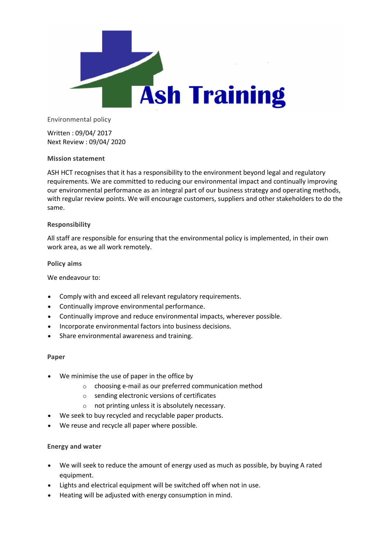

Environmental policy

Written : 09/04/ 2017 Next Review : 09/04/ 2020

# **Mission statement**

ASH HCT recognises that it has a responsibility to the environment beyond legal and regulatory requirements. We are committed to reducing our environmental impact and continually improving our environmental performance as an integral part of our business strategy and operating methods, with regular review points. We will encourage customers, suppliers and other stakeholders to do the same.

# **Responsibility**

All staff are responsible for ensuring that the environmental policy is implemented, in their own work area, as we all work remotely.

## **Policy aims**

We endeavour to:

- Comply with and exceed all relevant regulatory requirements.
- Continually improve environmental performance.
- Continually improve and reduce environmental impacts, wherever possible.
- Incorporate environmental factors into business decisions.
- Share environmental awareness and training.

## **Paper**

- We minimise the use of paper in the office by
	- o choosing e-mail as our preferred communication method
	- o sending electronic versions of certificates
	- o not printing unless it is absolutely necessary.
- We seek to buy recycled and recyclable paper products.
- We reuse and recycle all paper where possible.

## **Energy and water**

- We will seek to reduce the amount of energy used as much as possible, by buying A rated equipment.
- Lights and electrical equipment will be switched off when not in use.
- Heating will be adjusted with energy consumption in mind.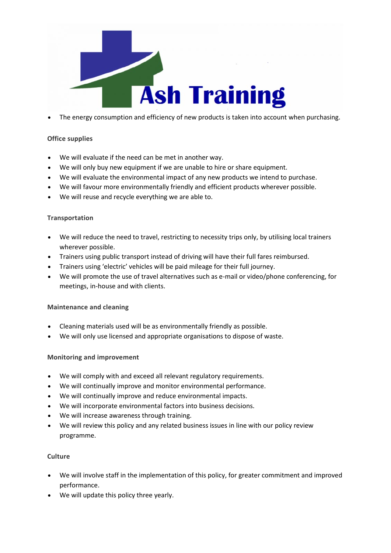

The energy consumption and efficiency of new products is taken into account when purchasing.

# **Office supplies**

- We will evaluate if the need can be met in another way.
- We will only buy new equipment if we are unable to hire or share equipment.
- We will evaluate the environmental impact of any new products we intend to purchase.
- We will favour more environmentally friendly and efficient products wherever possible.
- We will reuse and recycle everything we are able to.

# **Transportation**

- We will reduce the need to travel, restricting to necessity trips only, by utilising local trainers wherever possible.
- Trainers using public transport instead of driving will have their full fares reimbursed.
- Trainers using 'electric' vehicles will be paid mileage for their full journey.
- We will promote the use of travel alternatives such as e-mail or video/phone conferencing, for meetings, in-house and with clients.

## **Maintenance and cleaning**

- Cleaning materials used will be as environmentally friendly as possible.
- We will only use licensed and appropriate organisations to dispose of waste.

## **Monitoring and improvement**

- We will comply with and exceed all relevant regulatory requirements.
- We will continually improve and monitor environmental performance.
- We will continually improve and reduce environmental impacts.
- We will incorporate environmental factors into business decisions.
- We will increase awareness through training.
- We will review this policy and any related business issues in line with our policy review programme.

## **Culture**

- We will involve staff in the implementation of this policy, for greater commitment and improved performance.
- We will update this policy three yearly.